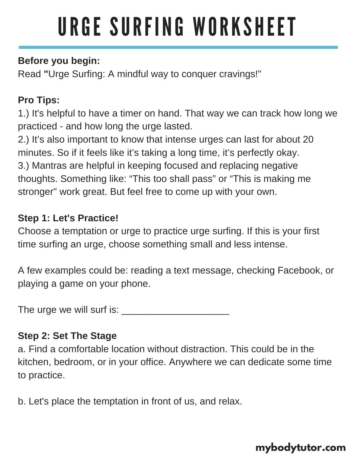# URGE SURFING WORKSHEET

## **Before you begin:**

Read **"**Urge Surfing: A mindful way to conquer cravings!"

## **Pro Tips:**

1.) It's helpful to have a timer on hand. That way we can track how long we practiced - and how long the urge lasted.

2.) It's also important to know that intense urges can last for about 20 minutes. So if it feels like it's taking a long time, it's perfectly okay. 3.) Mantras are helpful in keeping focused and replacing negative thoughts. Something like: "This too shall pass" or "This is making me stronger" work great. But feel free to come up with your own.

### **Step 1: Let's Practice!**

Choose a temptation or urge to practice urge surfing. If this is your first time surfing an urge, choose something small and less intense.

A few examples could be: reading a text message, checking Facebook, or playing a game on your phone.

The urge we will surf is: [\\_\\_\\_\\_\\_\\_\\_\\_\\_\\_\\_\\_\\_\\_\\_\\_\\_\\_\\_\\_](https://www.mybodytutor.com/blog/urge-surfing/)

## **Step 2: Set The Stage**

a. Find a comfortable location without distraction. This could be in the kitchen, bedroom, or in your office. Anywhere we can dedicate some time to practice.

b. Let's place the temptation in front of us, and relax.

## **[mybodytutor.com](https://www.mybodytutor.com/)**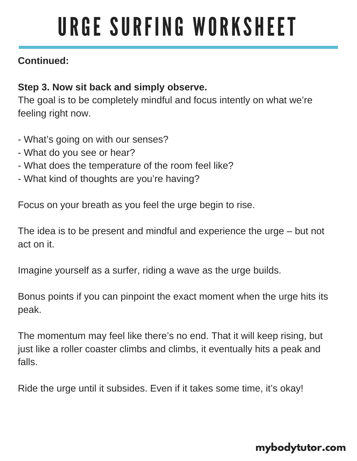## URGE SURFING WORKSHEET

#### **Continued:**

#### **Step 3. Now sit back and simply observe.**

The goal is to be completely mindful and focus intently on what we're feeling right now.

- What's going on with our senses?
- What do you see or hear?
- What does the temperature of the room feel like?
- What kind of thoughts are you're having?

Focus on your breath as you feel the urge begin to rise.

The idea is to be present and mindful and experience the urge – but not act on it.

Imagine yourself as a surfer, riding a wave as the urge builds.

Bonus points if you can pinpoint the exact moment when the urge hits its peak.

The momentum may feel like there's no end. That it will keep rising, but just like a roller coaster climbs and climbs, it eventually hits a peak and falls.

Ride the urge until it subsides. Even if it takes some time, it's okay!

#### **[mybodytutor.com](https://www.mybodytutor.com/)**